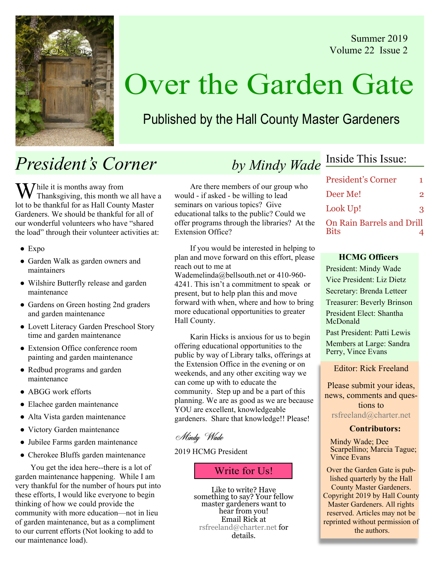Summer 2019 Volume 22 Issue 2



# Over the Garden Gate

# Published by the Hall County Master Gardeners

# President's Corner

 $M^{\text{th}}$  it is months away from Thanksgiving, this month we all have a lot to be thankful for as Hall County Master Gardeners. We should be thankful for all of our wonderful volunteers who have "shared the load" through their volunteer activities at:

- Expo
- Garden Walk as garden owners and maintainers
- Wilshire Butterfly release and garden maintenance
- Gardens on Green hosting 2nd graders and garden maintenance
- Lovett Literacy Garden Preschool Story time and garden maintenance
- Extension Office conference room painting and garden maintenance
- Redbud programs and garden maintenance
- ABGG work efforts
- Elachee garden maintenance
- Alta Vista garden maintenance
- Victory Garden maintenance
- Jubilee Farms garden maintenance
- Cherokee Bluffs garden maintenance

You get the idea here--there is a lot of garden maintenance happening. While I am very thankful for the number of hours put into these efforts, I would like everyone to begin thinking of how we could provide the community with more education—not in lieu of garden maintenance, but as a compliment to our current efforts (Not looking to add to our maintenance load).

# by Mindy Wade Inside This Issue:

Are there members of our group who would - if asked - be willing to lead seminars on various topics? Give educational talks to the public? Could we offer programs through the libraries? At the Extension Office?

If you would be interested in helping to plan and move forward on this effort, please reach out to me at

Wademelinda@bellsouth.net or 410-960- 4241. This isn't a commitment to speak or present, but to help plan this and move forward with when, where and how to bring more educational opportunities to greater Hall County.

Karin Hicks is anxious for us to begin offering educational opportunities to the public by way of Library talks, offerings at the Extension Office in the evening or on weekends, and any other exciting way we can come up with to educate the community. Step up and be a part of this planning. We are as good as we are because YOU are excellent, knowledgeable gardeners. Share that knowledge!! Please!

### Mindy Wade

### 2019 HCMG President

## Write for Us!

Like to write? Have something to say? Your fellow master gardeners want to hear from you! Email Rick at rsfreeland@charter.net for details.

| <b>President's Corner</b>                       | 1              |
|-------------------------------------------------|----------------|
| Deer Me!                                        | $\mathfrak{D}$ |
| Look Up!                                        | 3              |
| <b>On Rain Barrels and Drill</b><br><b>Bits</b> |                |

#### HCMG Officers

President: Mindy Wade Vice President: Liz Dietz Secretary: Brenda Letteer Treasurer: Beverly Brinson President Elect: Shantha McDonald Past President: Patti Lewis

Members at Large: Sandra Perry, Vince Evans

Editor: Rick Freeland

Please submit your ideas, news, comments and questions to rsfreeland@charter.net

#### Contributors:

Mindy Wade; Dee Scarpellino; Marcia Tague; Vince Evans

Over the Garden Gate is published quarterly by the Hall County Master Gardeners. Copyright 2019 by Hall County Master Gardeners. All rights reserved. Articles may not be reprinted without permission of the authors.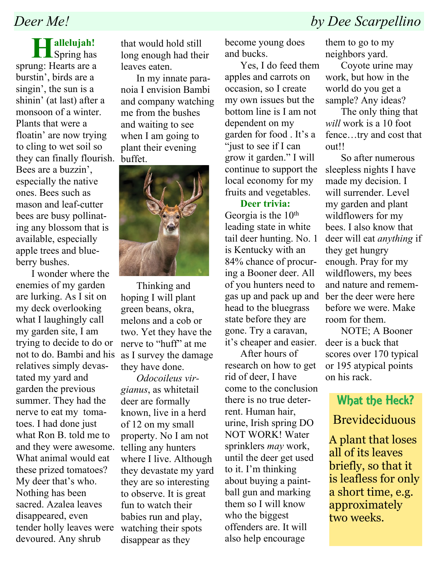## Deer Me! by Dee Scarpellino

 $\prod$ allelujah!<br>Spring has sprung: Hearts are a burstin', birds are a singin', the sun is a shinin' (at last) after a monsoon of a winter. Plants that were a floatin' are now trying to cling to wet soil so they can finally flourish. Bees are a buzzin', especially the native ones. Bees such as mason and leaf-cutter bees are busy pollinating any blossom that is available, especially apple trees and blueberry bushes.

I wonder where the enemies of my garden are lurking. As I sit on my deck overlooking what I laughingly call my garden site, I am trying to decide to do or not to do. Bambi and his relatives simply devastated my yard and garden the previous summer. They had the nerve to eat my tomatoes. I had done just what Ron B. told me to and they were awesome. What animal would eat these prized tomatoes? My deer that's who. Nothing has been sacred. Azalea leaves disappeared, even tender holly leaves were devoured. Any shrub

that would hold still long enough had their leaves eaten.

In my innate paranoia I envision Bambi and company watching me from the bushes and waiting to see when I am going to plant their evening buffet.



Thinking and hoping I will plant green beans, okra, melons and a cob or two. Yet they have the nerve to "huff" at me as I survey the damage they have done.

Odocoileus virgianus, as whitetail deer are formally known, live in a herd of 12 on my small property. No I am not telling any hunters where I live. Although they devastate my yard they are so interesting to observe. It is great fun to watch their babies run and play, watching their spots disappear as they

become young does and bucks.

Yes, I do feed them apples and carrots on occasion, so I create my own issues but the bottom line is I am not dependent on my garden for food . It's a "just to see if I can grow it garden." I will continue to support the local economy for my fruits and vegetables.

### Deer trivia:

Georgia is the 10<sup>th</sup> leading state in white tail deer hunting. No. 1 is Kentucky with an 84% chance of procuring a Booner deer. All of you hunters need to gas up and pack up and head to the bluegrass state before they are gone. Try a caravan, it's cheaper and easier.

After hours of research on how to get rid of deer, I have come to the conclusion there is no true deterrent. Human hair, urine, Irish spring DO NOT WORK! Water sprinklers may work, until the deer get used to it. I'm thinking about buying a paintball gun and marking them so I will know who the biggest offenders are. It will also help encourage

them to go to my neighbors yard.

Coyote urine may work, but how in the world do you get a sample? Any ideas?

The only thing that will work is a 10 foot fence…try and cost that out!!

So after numerous sleepless nights I have made my decision. I will surrender. Level my garden and plant wildflowers for my bees. I also know that deer will eat anything if they get hungry enough. Pray for my wildflowers, my bees and nature and remember the deer were here before we were. Make room for them.

NOTE; A Booner deer is a buck that scores over 170 typical or 195 atypical points on his rack.

## What the Heck? **Brevideciduous**

A plant that loses all of its leaves briefly, so that it is leafless for only a short time, e.g. approximately two weeks.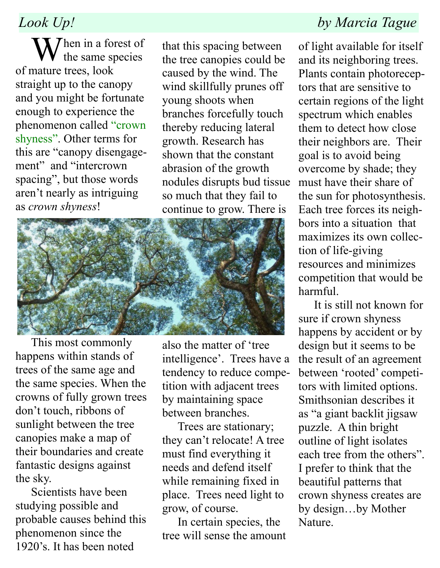$\sum$  hen in a forest of the same species of mature trees, look straight up to the canopy and you might be fortunate enough to experience the phenomenon called "crown shyness". Other terms for this are "canopy disengagement" and "intercrown spacing", but those words aren't nearly as intriguing as crown shyness!

that this spacing between the tree canopies could be caused by the wind. The wind skillfully prunes off young shoots when branches forcefully touch thereby reducing lateral growth. Research has shown that the constant abrasion of the growth nodules disrupts bud tissue so much that they fail to continue to grow. There is



This most commonly happens within stands of trees of the same age and the same species. When the crowns of fully grown trees don't touch, ribbons of sunlight between the tree canopies make a map of their boundaries and create fantastic designs against the sky.

Scientists have been studying possible and probable causes behind this phenomenon since the 1920's. It has been noted

also the matter of 'tree intelligence'. Trees have a tendency to reduce competition with adjacent trees by maintaining space between branches.

Trees are stationary; they can't relocate! A tree must find everything it needs and defend itself while remaining fixed in place. Trees need light to grow, of course.

In certain species, the tree will sense the amount

## Look Up! by Marcia Tague

of light available for itself and its neighboring trees. Plants contain photoreceptors that are sensitive to certain regions of the light spectrum which enables them to detect how close their neighbors are. Their goal is to avoid being overcome by shade; they must have their share of the sun for photosynthesis. Each tree forces its neighbors into a situation that maximizes its own collection of life-giving resources and minimizes competition that would be harmful.

It is still not known for sure if crown shyness happens by accident or by design but it seems to be the result of an agreement between 'rooted' competitors with limited options. Smithsonian describes it as "a giant backlit jigsaw puzzle. A thin bright outline of light isolates each tree from the others". I prefer to think that the beautiful patterns that crown shyness creates are by design…by Mother Nature.